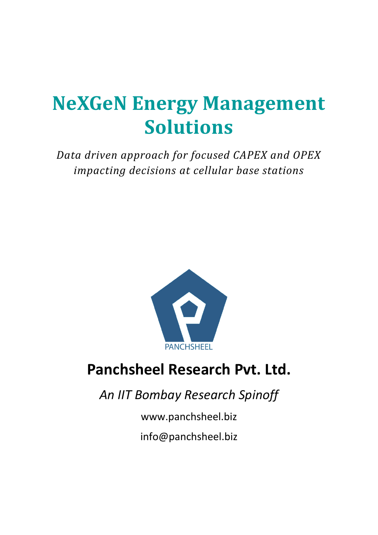# **NeXGeN Energy Management Solutions**

*Data driven approach for focused CAPEX and OPEX impacting decisions at cellular base stations*



## **Panchsheel Research Pvt. Ltd.**

*An IIT Bombay Research Spinoff*

www.panchsheel.biz

info@panchsheel.biz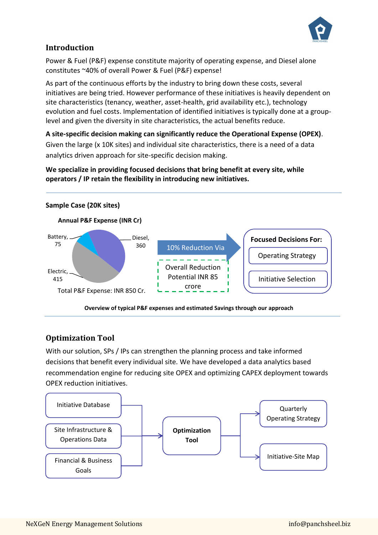

#### **Introduction**

Power & Fuel (P&F) expense constitute majority of operating expense, and Diesel alone constitutes ~40% of overall Power & Fuel (P&F) expense!

As part of the continuous efforts by the industry to bring down these costs, several initiatives are being tried. However performance of these initiatives is heavily dependent on site characteristics (tenancy, weather, asset-health, grid availability etc.), technology evolution and fuel costs. Implementation of identified initiatives is typically done at a grouplevel and given the diversity in site characteristics, the actual benefits reduce.

**A site-specific decision making can significantly reduce the Operational Expense (OPEX)**. Given the large (x 10K sites) and individual site characteristics, there is a need of a data analytics driven approach for site-specific decision making.

**We specialize in providing focused decisions that bring benefit at every site, while operators / IP retain the flexibility in introducing new initiatives.**



#### **Optimization Tool**

With our solution, SPs / IPs can strengthen the planning process and take informed decisions that benefit every individual site. We have developed a data analytics based recommendation engine for reducing site OPEX and optimizing CAPEX deployment towards OPEX reduction initiatives.

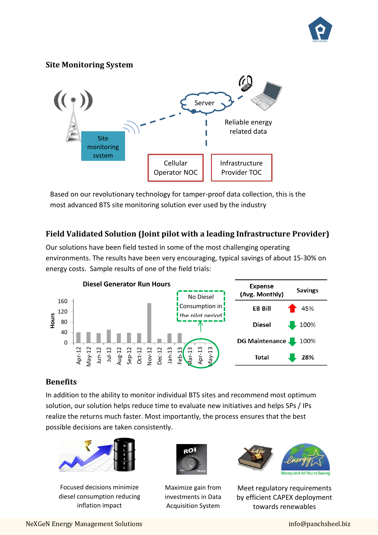

#### **Site Monitoring System**



Based on our revolutionary technology for tamper-proof data collection, this is the most advanced BTS site monitoring solution ever used by the industry

#### **Field Validated Solution (Joint pilot with a leading Infrastructure Provider)**

Our solutions have been field tested in some of the most challenging operating environments. The results have been very encouraging, typical savings of about 15-30% on energy costs. Sample results of one of the field trials:



#### **Benefits**

In addition to the ability to monitor individual BTS sites and recommend most optimum solution, our solution helps reduce time to evaluate new initiatives and helps SPs / IPs realize the returns much faster. Most importantly, the process ensures that the best possible decisions are taken consistently.



Focused decisions minimize diesel consumption reducing inflation impact



Maximize gain from investments in Data Acquisition System



Meet regulatory requirements by efficient CAPEX deployment towards renewables